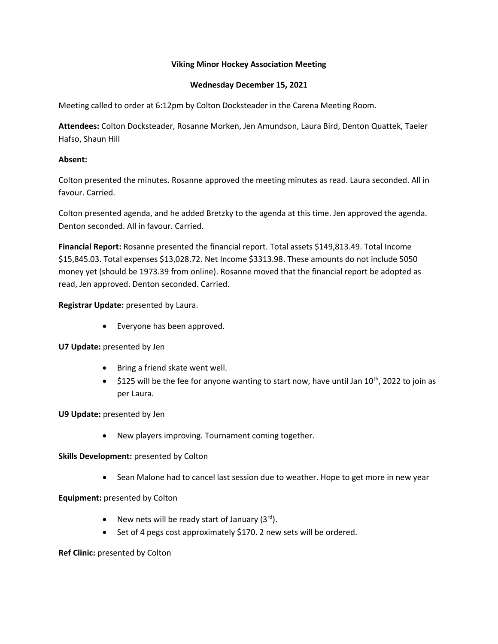## **Viking Minor Hockey Association Meeting**

## **Wednesday December 15, 2021**

Meeting called to order at 6:12pm by Colton Docksteader in the Carena Meeting Room.

**Attendees:** Colton Docksteader, Rosanne Morken, Jen Amundson, Laura Bird, Denton Quattek, Taeler Hafso, Shaun Hill

## **Absent:**

Colton presented the minutes. Rosanne approved the meeting minutes as read. Laura seconded. All in favour. Carried.

Colton presented agenda, and he added Bretzky to the agenda at this time. Jen approved the agenda. Denton seconded. All in favour. Carried.

**Financial Report:** Rosanne presented the financial report. Total assets \$149,813.49. Total Income \$15,845.03. Total expenses \$13,028.72. Net Income \$3313.98. These amounts do not include 5050 money yet (should be 1973.39 from online). Rosanne moved that the financial report be adopted as read, Jen approved. Denton seconded. Carried.

**Registrar Update:** presented by Laura.

• Everyone has been approved.

**U7 Update:** presented by Jen

- Bring a friend skate went well.
- $\bullet$  \$125 will be the fee for anyone wanting to start now, have until Jan 10<sup>th</sup>, 2022 to join as per Laura.

**U9 Update:** presented by Jen

• New players improving. Tournament coming together.

**Skills Development:** presented by Colton

• Sean Malone had to cancel last session due to weather. Hope to get more in new year

**Equipment:** presented by Colton

- New nets will be ready start of January  $(3^{rd})$ .
- Set of 4 pegs cost approximately \$170. 2 new sets will be ordered.

**Ref Clinic:** presented by Colton